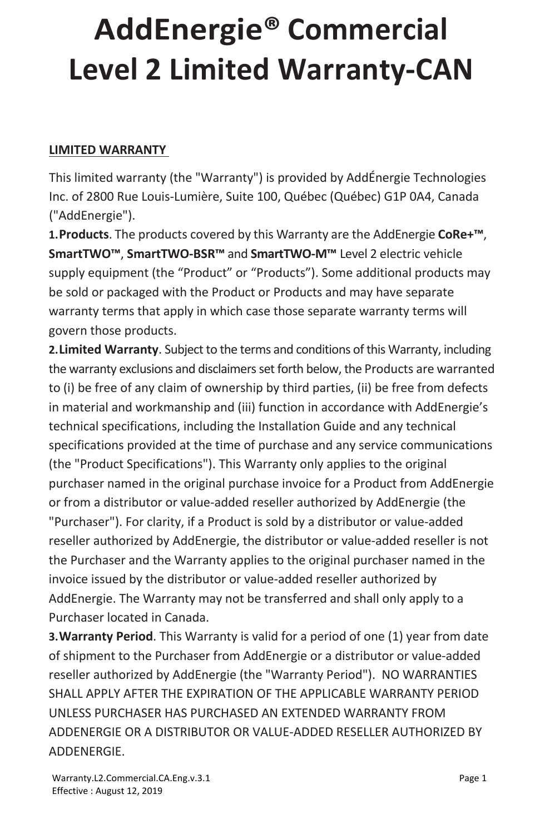#### **LIMITED WARRANTY**

This limited warranty (the "Warranty") is provided by AddÉnergie Technologies Inc. of 2800 Rue Louis-Lumière, Suite 100, Québec (Québec) G1P 0A4, Canada ("AddEnergie").

**1.Products**. The products covered by this Warranty are the AddEnergie **CoRe+™**, **SmartTWO™**, **SmartTWO-BSR™** and **SmartTWO-M™** Level 2 electric vehicle supply equipment (the "Product" or "Products"). Some additional products may be sold or packaged with the Product or Products and may have separate warranty terms that apply in which case those separate warranty terms will govern those products.

**2.Limited Warranty**. Subject to the terms and conditions of this Warranty, including the warranty exclusions and disclaimers set forth below, the Products are warranted to (i) be free of any claim of ownership by third parties, (ii) be free from defects in material and workmanship and (iii) function in accordance with AddEnergie's technical specifications, including the Installation Guide and any technical specifications provided at the time of purchase and any service communications (the "Product Specifications"). This Warranty only applies to the original purchaser named in the original purchase invoice for a Product from AddEnergie or from a distributor or value-added reseller authorized by AddEnergie (the "Purchaser"). For clarity, if a Product is sold by a distributor or value-added reseller authorized by AddEnergie, the distributor or value-added reseller is not the Purchaser and the Warranty applies to the original purchaser named in the invoice issued by the distributor or value-added reseller authorized by AddEnergie. The Warranty may not be transferred and shall only apply to a Purchaser located in Canada.

**3.Warranty Period**. This Warranty is valid for a period of one (1) year from date of shipment to the Purchaser from AddEnergie or a distributor or value-added reseller authorized by AddEnergie (the "Warranty Period"). NO WARRANTIES SHALL APPLY AFTER THE EXPIRATION OF THE APPLICABLE WARRANTY PERIOD UNLESS PURCHASER HAS PURCHASED AN EXTENDED WARRANTY FROM ADDENERGIE OR A DISTRIBUTOR OR VALUE-ADDED RESELLER AUTHORIZED BY ADDENERGIE.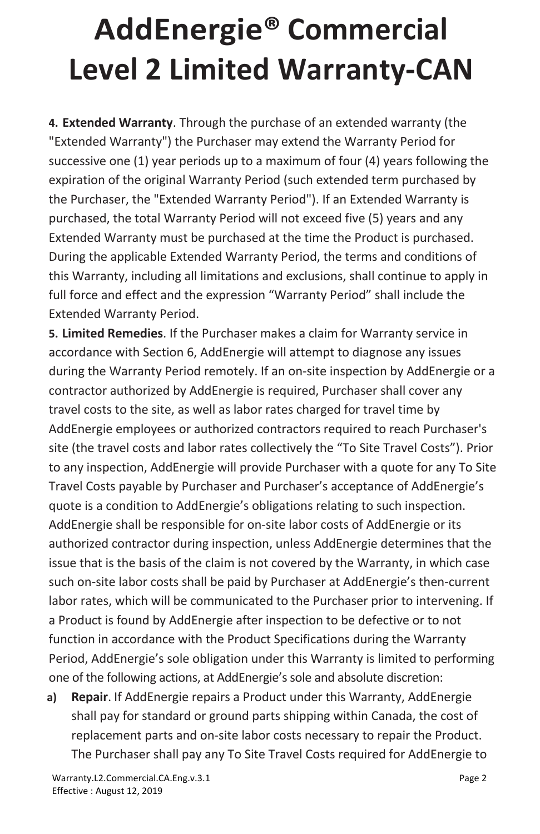**4. Extended Warranty**. Through the purchase of an extended warranty (the "Extended Warranty") the Purchaser may extend the Warranty Period for successive one (1) year periods up to a maximum of four (4) years following the expiration of the original Warranty Period (such extended term purchased by the Purchaser, the "Extended Warranty Period"). If an Extended Warranty is purchased, the total Warranty Period will not exceed five (5) years and any Extended Warranty must be purchased at the time the Product is purchased. During the applicable Extended Warranty Period, the terms and conditions of this Warranty, including all limitations and exclusions, shall continue to apply in full force and effect and the expression "Warranty Period" shall include the Extended Warranty Period.

**5. Limited Remedies**. If the Purchaser makes a claim for Warranty service in accordance with Section 6, AddEnergie will attempt to diagnose any issues during the Warranty Period remotely. If an on-site inspection by AddEnergie or a contractor authorized by AddEnergie is required, Purchaser shall cover any travel costs to the site, as well as labor rates charged for travel time by AddEnergie employees or authorized contractors required to reach Purchaser's site (the travel costs and labor rates collectively the "To Site Travel Costs"). Prior to any inspection, AddEnergie will provide Purchaser with a quote for any To Site Travel Costs payable by Purchaser and Purchaser's acceptance of AddEnergie's quote is a condition to AddEnergie's obligations relating to such inspection. AddEnergie shall be responsible for on-site labor costs of AddEnergie or its authorized contractor during inspection, unless AddEnergie determines that the issue that is the basis of the claim is not covered by the Warranty, in which case such on-site labor costs shall be paid by Purchaser at AddEnergie's then-current labor rates, which will be communicated to the Purchaser prior to intervening. If a Product is found by AddEnergie after inspection to be defective or to not function in accordance with the Product Specifications during the Warranty Period, AddEnergie's sole obligation under this Warranty is limited to performing one of the following actions, at AddEnergie'ssole and absolute discretion:

**a) Repair**. If AddEnergie repairs a Product under this Warranty, AddEnergie shall pay for standard or ground parts shipping within Canada, the cost of replacement parts and on-site labor costs necessary to repair the Product. The Purchaser shall pay any To Site Travel Costs required for AddEnergie to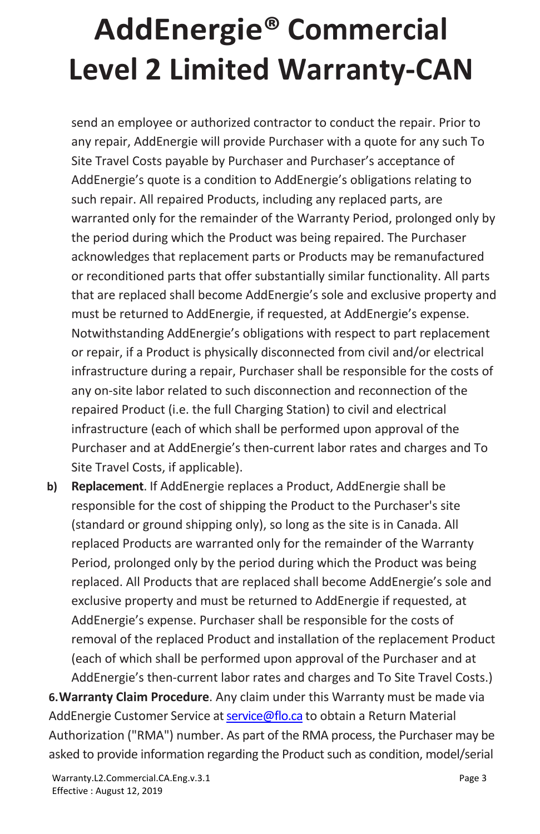send an employee or authorized contractor to conduct the repair. Prior to any repair, AddEnergie will provide Purchaser with a quote for any such To Site Travel Costs payable by Purchaser and Purchaser's acceptance of AddEnergie's quote is a condition to AddEnergie's obligations relating to such repair. All repaired Products, including any replaced parts, are warranted only for the remainder of the Warranty Period, prolonged only by the period during which the Product was being repaired. The Purchaser acknowledges that replacement parts or Products may be remanufactured or reconditioned parts that offer substantially similar functionality. All parts that are replaced shall become AddEnergie's sole and exclusive property and must be returned to AddEnergie, if requested, at AddEnergie's expense. Notwithstanding AddEnergie's obligations with respect to part replacement or repair, if a Product is physically disconnected from civil and/or electrical infrastructure during a repair, Purchaser shall be responsible for the costs of any on-site labor related to such disconnection and reconnection of the repaired Product (i.e. the full Charging Station) to civil and electrical infrastructure (each of which shall be performed upon approval of the Purchaser and at AddEnergie's then-current labor rates and charges and To Site Travel Costs, if applicable).

**b) Replacement**. If AddEnergie replaces a Product, AddEnergie shall be responsible for the cost of shipping the Product to the Purchaser's site (standard or ground shipping only), so long as the site is in Canada. All replaced Products are warranted only for the remainder of the Warranty Period, prolonged only by the period during which the Product was being replaced. All Products that are replaced shall become AddEnergie's sole and exclusive property and must be returned to AddEnergie if requested, at AddEnergie's expense. Purchaser shall be responsible for the costs of removal of the replaced Product and installation of the replacement Product (each of which shall be performed upon approval of the Purchaser and at AddEnergie's then-current labor rates and charges and To Site Travel Costs.)

**6.Warranty Claim Procedure**. Any claim under this Warranty must be made via AddEnergie Customer Service at service@flo.ca to obtain a Return Material Authorization ("RMA") number. As part of the RMA process, the Purchaser may be asked to provide information regarding the Product such as condition, model/serial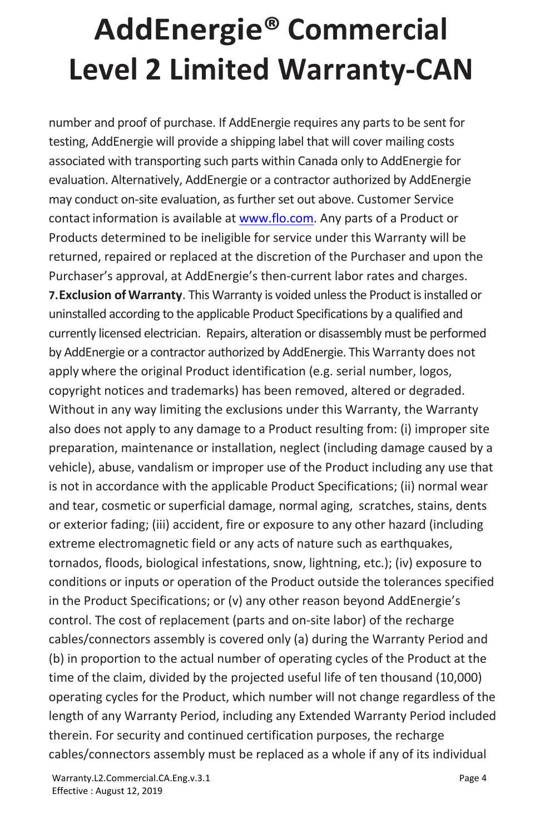number and proof of purchase. If AddEnergie requires any parts to be sent for testing, AddEnergie will provide a shipping label that will cover mailing costs associated with transporting such parts within Canada only to AddEnergie for evaluation. Alternatively, AddEnergie or a contractor authorized by AddEnergie may conduct on-site evaluation, as further set out above. Customer Service contact information is available at www.flo.com. Any parts of a Product or Products determined to be ineligible for service under this Warranty will be returned, repaired or replaced at the discretion of the Purchaser and upon the Purchaser's approval, at AddEnergie's then-current labor rates and charges. **7.Exclusion of Warranty**. This Warranty is voided unless the Product is installed or uninstalled according to the applicable Product Specifications by a qualified and currently licensed electrician. Repairs, alteration or disassembly must be performed by AddEnergie or a contractor authorized by AddEnergie. This Warranty does not apply where the original Product identification (e.g. serial number, logos, copyright notices and trademarks) has been removed, altered or degraded. Without in any way limiting the exclusions under this Warranty, the Warranty also does not apply to any damage to a Product resulting from: (i) improper site preparation, maintenance or installation, neglect (including damage caused by a vehicle), abuse, vandalism or improper use of the Product including any use that is not in accordance with the applicable Product Specifications; (ii) normal wear and tear, cosmetic or superficial damage, normal aging, scratches, stains, dents or exterior fading; (iii) accident, fire or exposure to any other hazard (including extreme electromagnetic field or any acts of nature such as earthquakes, tornados, floods, biological infestations, snow, lightning, etc.); (iv) exposure to conditions or inputs or operation of the Product outside the tolerances specified in the Product Specifications; or (v) any other reason beyond AddEnergie's control. The cost of replacement (parts and on-site labor) of the recharge cables/connectors assembly is covered only (a) during the Warranty Period and (b) in proportion to the actual number of operating cycles of the Product at the time of the claim, divided by the projected useful life of ten thousand (10,000) operating cycles for the Product, which number will not change regardless of the length of any Warranty Period, including any Extended Warranty Period included therein. For security and continued certification purposes, the recharge cables/connectors assembly must be replaced as a whole if any of its individual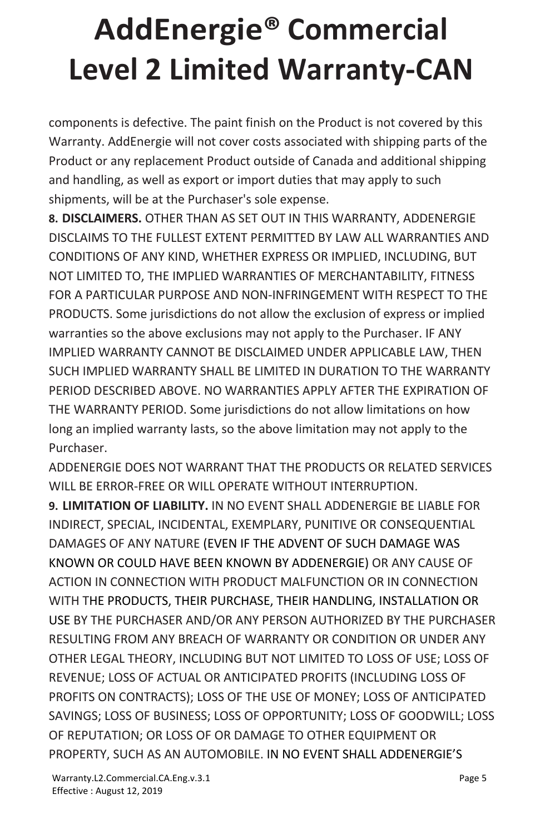components is defective. The paint finish on the Product is not covered by this Warranty. AddEnergie will not cover costs associated with shipping parts of the Product or any replacement Product outside of Canada and additional shipping and handling, as well as export or import duties that may apply to such shipments, will be at the Purchaser's sole expense.

**8. DISCLAIMERS.** OTHER THAN AS SET OUT IN THIS WARRANTY, ADDENERGIE DISCLAIMS TO THE FULLEST EXTENT PERMITTED BY LAW ALL WARRANTIES AND CONDITIONS OF ANY KIND, WHETHER EXPRESS OR IMPLIED, INCLUDING, BUT NOT LIMITED TO, THE IMPLIED WARRANTIES OF MERCHANTABILITY, FITNESS FOR A PARTICULAR PURPOSE AND NON-INFRINGEMENT WITH RESPECT TO THE PRODUCTS. Some jurisdictions do not allow the exclusion of express or implied warranties so the above exclusions may not apply to the Purchaser. IF ANY IMPLIED WARRANTY CANNOT BE DISCLAIMED UNDER APPLICABLE LAW, THEN SUCH IMPLIED WARRANTY SHALL BE LIMITED IN DURATION TO THE WARRANTY PERIOD DESCRIBED ABOVE. NO WARRANTIES APPLY AFTER THE EXPIRATION OF THE WARRANTY PERIOD. Some jurisdictions do not allow limitations on how long an implied warranty lasts, so the above limitation may not apply to the Purchaser.

ADDENERGIE DOES NOT WARRANT THAT THE PRODUCTS OR RELATED SERVICES WILL BE FRROR-FREE OR WILL OPERATE WITHOUT INTERRUPTION.

**9. LIMITATION OF LIABILITY.** IN NO EVENT SHALL ADDENERGIE BE LIABLE FOR INDIRECT, SPECIAL, INCIDENTAL, EXEMPLARY, PUNITIVE OR CONSEQUENTIAL DAMAGES OF ANY NATURE (EVEN IF THE ADVENT OF SUCH DAMAGE WAS KNOWN OR COULD HAVE BEEN KNOWN BY ADDENERGIE) OR ANY CAUSE OF ACTION IN CONNECTION WITH PRODUCT MALFUNCTION OR IN CONNECTION WITH THE PRODUCTS, THEIR PURCHASE, THEIR HANDLING, INSTALLATION OR USE BY THE PURCHASER AND/OR ANY PERSON AUTHORIZED BY THE PURCHASER RESULTING FROM ANY BREACH OF WARRANTY OR CONDITION OR UNDER ANY OTHER LEGAL THEORY, INCLUDING BUT NOT LIMITED TO LOSS OF USE; LOSS OF REVENUE; LOSS OF ACTUAL OR ANTICIPATED PROFITS (INCLUDING LOSS OF PROFITS ON CONTRACTS); LOSS OF THE USE OF MONEY; LOSS OF ANTICIPATED SAVINGS; LOSS OF BUSINESS; LOSS OF OPPORTUNITY; LOSS OF GOODWILL; LOSS OF REPUTATION; OR LOSS OF OR DAMAGE TO OTHER EQUIPMENT OR PROPERTY, SUCH AS AN AUTOMOBILE. IN NO EVENT SHALL ADDENERGIE'S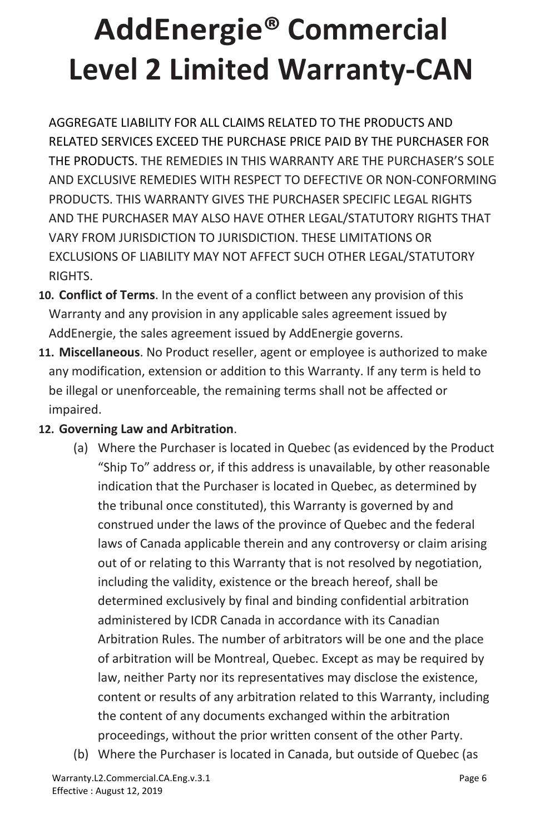AGGREGATE LIABILITY FOR ALL CLAIMS RELATED TO THE PRODUCTS AND RELATED SERVICES EXCEED THE PURCHASE PRICE PAID BY THE PURCHASER FOR THE PRODUCTS. THE REMEDIES IN THIS WARRANTY ARE THE PURCHASER'S SOLE AND EXCLUSIVE REMEDIES WITH RESPECT TO DEFECTIVE OR NON-CONFORMING PRODUCTS. THIS WARRANTY GIVES THE PURCHASER SPECIFIC LEGAL RIGHTS AND THE PURCHASER MAY ALSO HAVE OTHER LEGAL/STATUTORY RIGHTS THAT VARY FROM JURISDICTION TO JURISDICTION. THESE LIMITATIONS OR EXCLUSIONS OF LIABILITY MAY NOT AFFECT SUCH OTHER LEGAL/STATUTORY RIGHTS.

- **10. Conflict of Terms**. In the event of a conflict between any provision of this Warranty and any provision in any applicable sales agreement issued by AddEnergie, the sales agreement issued by AddEnergie governs.
- **11. Miscellaneous**. No Product reseller, agent or employee is authorized to make any modification, extension or addition to this Warranty. If any term is held to be illegal or unenforceable, the remaining terms shall not be affected or impaired.

#### **12. Governing Law and Arbitration**.

- (a) Where the Purchaser is located in Quebec (as evidenced by the Product "Ship To" address or, if this address is unavailable, by other reasonable indication that the Purchaser is located in Quebec, as determined by the tribunal once constituted), this Warranty is governed by and construed under the laws of the province of Quebec and the federal laws of Canada applicable therein and any controversy or claim arising out of or relating to this Warranty that is not resolved by negotiation, including the validity, existence or the breach hereof, shall be determined exclusively by final and binding confidential arbitration administered by ICDR Canada in accordance with its Canadian Arbitration Rules. The number of arbitrators will be one and the place of arbitration will be Montreal, Quebec. Except as may be required by law, neither Party nor its representatives may disclose the existence, content or results of any arbitration related to this Warranty, including the content of any documents exchanged within the arbitration proceedings, without the prior written consent of the other Party.
- (b) Where the Purchaser is located in Canada, but outside of Quebec (as